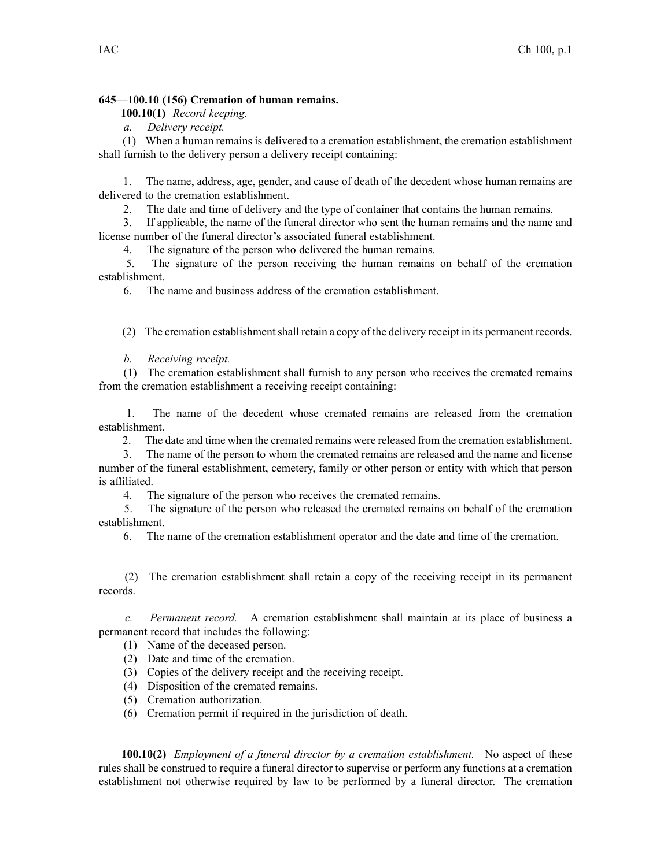## **645—100.10 (156) Cremation of human remains.**

**100.10(1)** *Record keeping.*

*a. Delivery receipt.*

(1) When <sup>a</sup> human remains is delivered to <sup>a</sup> cremation establishment, the cremation establishment shall furnish to the delivery person <sup>a</sup> delivery receipt containing:

1. The name, address, age, gender, and cause of death of the decedent whose human remains are delivered to the cremation establishment.

2. The date and time of delivery and the type of container that contains the human remains.

3. If applicable, the name of the funeral director who sent the human remains and the name and license number of the funeral director's associated funeral establishment.

4. The signature of the person who delivered the human remains.

5. The signature of the person receiving the human remains on behalf of the cremation establishment.

6. The name and business address of the cremation establishment.

(2) The cremation establishment shall retain a copy of the delivery receipt in its permanent records.

*b. Receiving receipt.*

(1) The cremation establishment shall furnish to any person who receives the cremated remains from the cremation establishment <sup>a</sup> receiving receipt containing:

1. The name of the decedent whose cremated remains are released from the cremation establishment.

2. The date and time when the cremated remains were released from the cremation establishment.

3. The name of the person to whom the cremated remains are released and the name and license number of the funeral establishment, cemetery, family or other person or entity with which that person is affiliated.

4. The signature of the person who receives the cremated remains.

5. The signature of the person who released the cremated remains on behalf of the cremation establishment.

6. The name of the cremation establishment operator and the date and time of the cremation.

(2) The cremation establishment shall retain <sup>a</sup> copy of the receiving receipt in its permanen<sup>t</sup> records.

*c. Permanent record.* A cremation establishment shall maintain at its place of business <sup>a</sup> permanen<sup>t</sup> record that includes the following:

(1) Name of the deceased person.

- (2) Date and time of the cremation.
- (3) Copies of the delivery receipt and the receiving receipt.
- (4) Disposition of the cremated remains.
- (5) Cremation authorization.
- (6) Cremation permit if required in the jurisdiction of death.

**100.10(2)** *Employment of <sup>a</sup> funeral director by <sup>a</sup> cremation establishment.* No aspec<sup>t</sup> of these rules shall be construed to require <sup>a</sup> funeral director to supervise or perform any functions at <sup>a</sup> cremation establishment not otherwise required by law to be performed by <sup>a</sup> funeral director. The cremation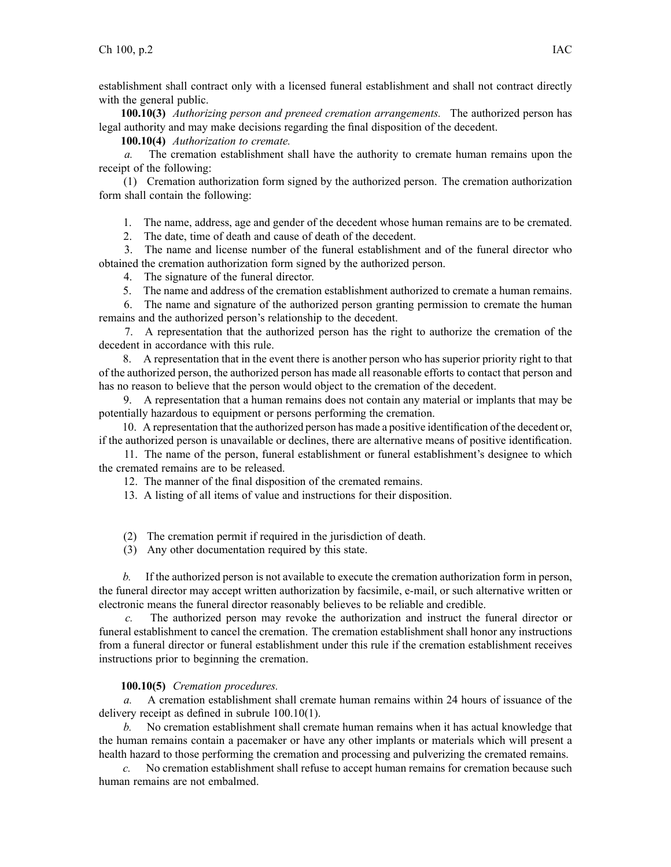establishment shall contract only with <sup>a</sup> licensed funeral establishment and shall not contract directly with the general public.

**100.10(3)** *Authorizing person and preneed cremation arrangements.* The authorized person has legal authority and may make decisions regarding the final disposition of the decedent.

**100.10(4)** *Authorization to cremate.*

*a.* The cremation establishment shall have the authority to cremate human remains upon the receipt of the following:

(1) Cremation authorization form signed by the authorized person. The cremation authorization form shall contain the following:

1. The name, address, age and gender of the decedent whose human remains are to be cremated.

2. The date, time of death and cause of death of the decedent.

3. The name and license number of the funeral establishment and of the funeral director who obtained the cremation authorization form signed by the authorized person.

4. The signature of the funeral director.

5. The name and address of the cremation establishment authorized to cremate <sup>a</sup> human remains.

6. The name and signature of the authorized person granting permission to cremate the human remains and the authorized person's relationship to the decedent.

7. A representation that the authorized person has the right to authorize the cremation of the decedent in accordance with this rule.

8. A representation that in the event there is another person who has superior priority right to that of the authorized person, the authorized person has made all reasonable efforts to contact that person and has no reason to believe that the person would object to the cremation of the decedent.

9. A representation that <sup>a</sup> human remains does not contain any material or implants that may be potentially hazardous to equipment or persons performing the cremation.

10. A representation that the authorized person has made <sup>a</sup> positive identification of the decedent or, if the authorized person is unavailable or declines, there are alternative means of positive identification.

11. The name of the person, funeral establishment or funeral establishment's designee to which the cremated remains are to be released.

12. The manner of the final disposition of the cremated remains.

13. A listing of all items of value and instructions for their disposition.

(2) The cremation permit if required in the jurisdiction of death.

(3) Any other documentation required by this state.

*b.* If the authorized person is not available to execute the cremation authorization form in person, the funeral director may accep<sup>t</sup> written authorization by facsimile, e-mail, or such alternative written or electronic means the funeral director reasonably believes to be reliable and credible.

*c.* The authorized person may revoke the authorization and instruct the funeral director or funeral establishment to cancel the cremation. The cremation establishment shall honor any instructions from <sup>a</sup> funeral director or funeral establishment under this rule if the cremation establishment receives instructions prior to beginning the cremation.

## **100.10(5)** *Cremation procedures.*

*a.* A cremation establishment shall cremate human remains within 24 hours of issuance of the delivery receipt as defined in subrule 100.10(1).

*b.* No cremation establishment shall cremate human remains when it has actual knowledge that the human remains contain <sup>a</sup> pacemaker or have any other implants or materials which will presen<sup>t</sup> <sup>a</sup> health hazard to those performing the cremation and processing and pulverizing the cremated remains.

*c.* No cremation establishment shall refuse to accep<sup>t</sup> human remains for cremation because such human remains are not embalmed.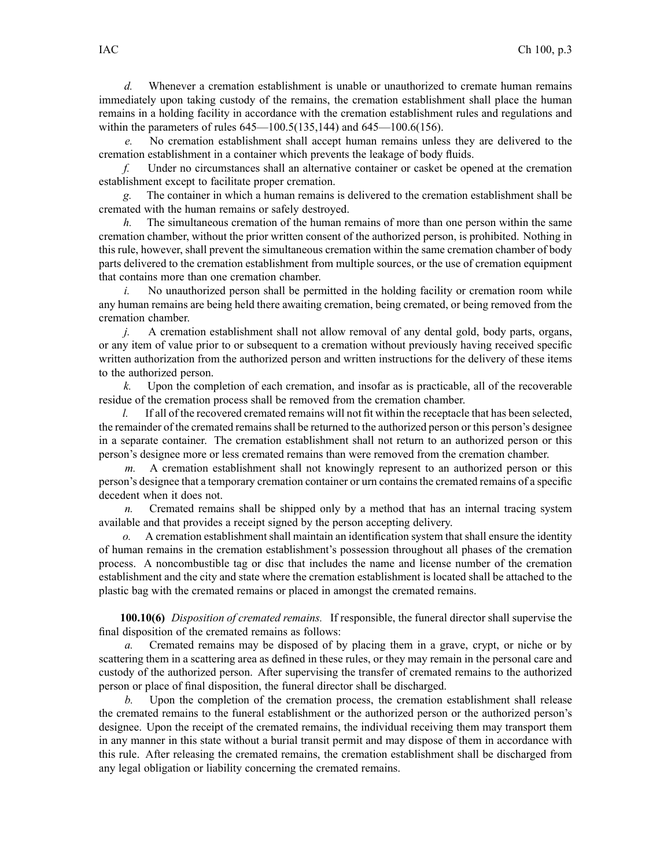*d.* Whenever <sup>a</sup> cremation establishment is unable or unauthorized to cremate human remains immediately upon taking custody of the remains, the cremation establishment shall place the human remains in <sup>a</sup> holding facility in accordance with the cremation establishment rules and regulations and within the parameters of rules [645—100.5\(135,144\)](https://www.legis.iowa.gov/docs/iac/rule/645.100.5.pdf) and [645—100.6\(156\)](https://www.legis.iowa.gov/docs/iac/rule/645.100.6.pdf).

*e.* No cremation establishment shall accep<sup>t</sup> human remains unless they are delivered to the cremation establishment in <sup>a</sup> container which prevents the leakage of body fluids.

*f.* Under no circumstances shall an alternative container or casket be opened at the cremation establishment excep<sup>t</sup> to facilitate proper cremation.

*g.* The container in which <sup>a</sup> human remains is delivered to the cremation establishment shall be cremated with the human remains or safely destroyed.

*h.* The simultaneous cremation of the human remains of more than one person within the same cremation chamber, without the prior written consent of the authorized person, is prohibited. Nothing in this rule, however, shall preven<sup>t</sup> the simultaneous cremation within the same cremation chamber of body parts delivered to the cremation establishment from multiple sources, or the use of cremation equipment that contains more than one cremation chamber.

*i.* No unauthorized person shall be permitted in the holding facility or cremation room while any human remains are being held there awaiting cremation, being cremated, or being removed from the cremation chamber.

*j.* A cremation establishment shall not allow removal of any dental gold, body parts, organs, or any item of value prior to or subsequent to <sup>a</sup> cremation without previously having received specific written authorization from the authorized person and written instructions for the delivery of these items to the authorized person.

*k.* Upon the completion of each cremation, and insofar as is practicable, all of the recoverable residue of the cremation process shall be removed from the cremation chamber.

*l.* If all of the recovered cremated remains will not fit within the receptacle that has been selected, the remainder of the cremated remainsshall be returned to the authorized person or this person's designee in <sup>a</sup> separate container. The cremation establishment shall not return to an authorized person or this person's designee more or less cremated remains than were removed from the cremation chamber.

*m.* A cremation establishment shall not knowingly represen<sup>t</sup> to an authorized person or this person's designee that <sup>a</sup> temporary cremation container or urn containsthe cremated remains of <sup>a</sup> specific decedent when it does not.

*n.* Cremated remains shall be shipped only by <sup>a</sup> method that has an internal tracing system available and that provides <sup>a</sup> receipt signed by the person accepting delivery.

*o.* A cremation establishment shall maintain an identification system that shall ensure the identity of human remains in the cremation establishment's possession throughout all phases of the cremation process. A noncombustible tag or disc that includes the name and license number of the cremation establishment and the city and state where the cremation establishment is located shall be attached to the plastic bag with the cremated remains or placed in amongs<sup>t</sup> the cremated remains.

**100.10(6)** *Disposition of cremated remains.* If responsible, the funeral director shall supervise the final disposition of the cremated remains as follows:

*a.* Cremated remains may be disposed of by placing them in <sup>a</sup> grave, crypt, or niche or by scattering them in <sup>a</sup> scattering area as defined in these rules, or they may remain in the personal care and custody of the authorized person. After supervising the transfer of cremated remains to the authorized person or place of final disposition, the funeral director shall be discharged.

*b.* Upon the completion of the cremation process, the cremation establishment shall release the cremated remains to the funeral establishment or the authorized person or the authorized person's designee. Upon the receipt of the cremated remains, the individual receiving them may transport them in any manner in this state without <sup>a</sup> burial transit permit and may dispose of them in accordance with this rule. After releasing the cremated remains, the cremation establishment shall be discharged from any legal obligation or liability concerning the cremated remains.